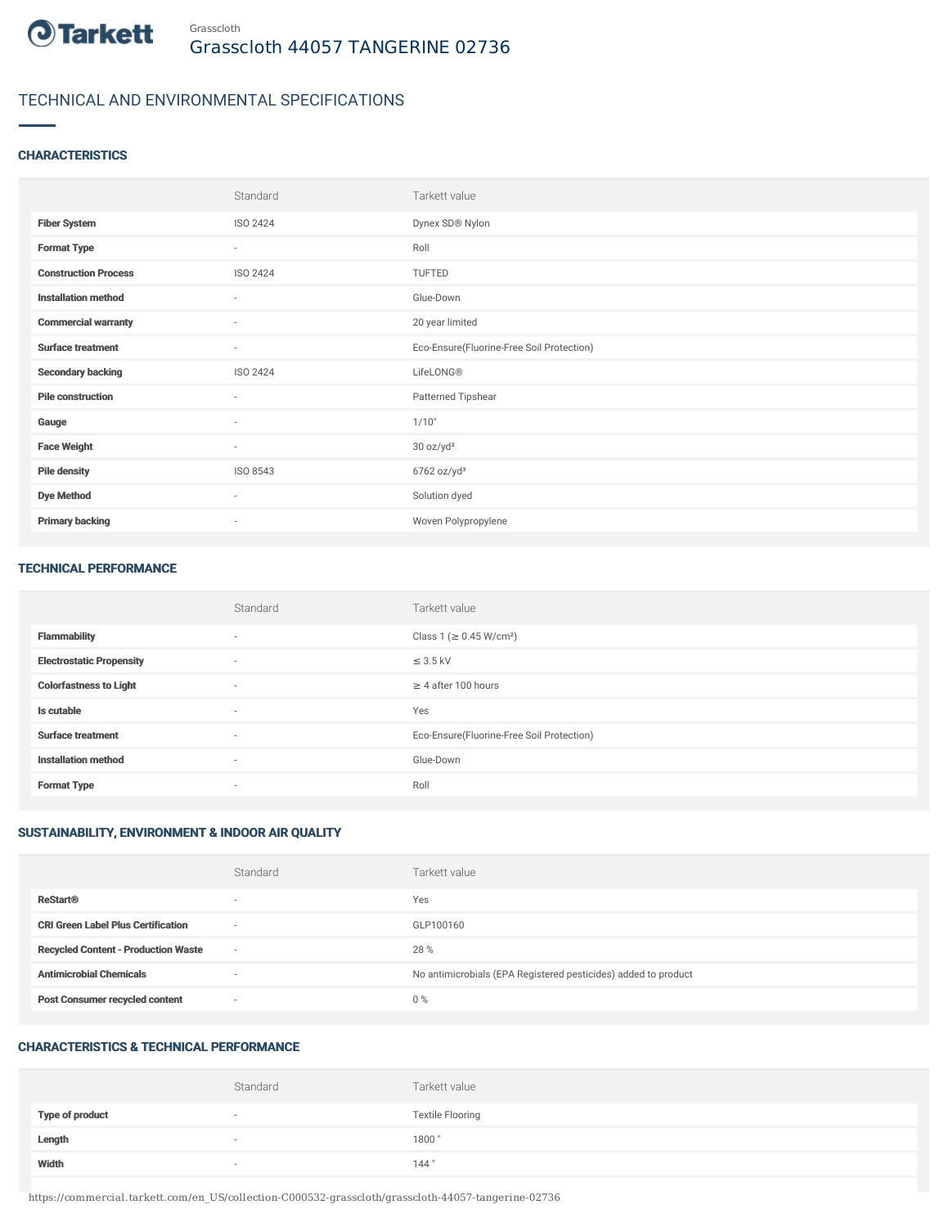

# TECHNICAL AND ENVIRONMENTAL SPECIFICATIONS

### **CHARACTERISTICS**

|                             | Standard | Tarkett value                             |
|-----------------------------|----------|-------------------------------------------|
| <b>Fiber System</b>         | ISO 2424 | Dynex SD® Nylon                           |
| <b>Format Type</b>          | $\sim$   | Roll                                      |
| <b>Construction Process</b> | ISO 2424 | TUFTED                                    |
| <b>Installation method</b>  | $\sim$   | Glue-Down                                 |
| <b>Commercial warranty</b>  | $\sim$   | 20 year limited                           |
| <b>Surface treatment</b>    | $\sim$   | Eco-Ensure(Fluorine-Free Soil Protection) |
| <b>Secondary backing</b>    | ISO 2424 | LifeLONG®                                 |
| <b>Pile construction</b>    | $\sim$   | Patterned Tipshear                        |
| Gauge                       | $\sim$   | 1/10"                                     |
| <b>Face Weight</b>          | $\sim$   | 30 oz/yd <sup>2</sup>                     |
| <b>Pile density</b>         | ISO 8543 | $6762$ oz/yd <sup>3</sup>                 |
| <b>Dye Method</b>           | $\sim$   | Solution dyed                             |
| <b>Primary backing</b>      | $\sim$   | Woven Polypropylene                       |

#### TECHNICAL PERFORMANCE

|                                 | Standard                 | Tarkett value                             |
|---------------------------------|--------------------------|-------------------------------------------|
| <b>Flammability</b>             | $\sim$                   | Class 1 (≥ 0.45 W/cm <sup>2</sup> )       |
| <b>Electrostatic Propensity</b> | $\sim$                   | $\leq$ 3.5 kV                             |
| <b>Colorfastness to Light</b>   | $\sim$                   | $\geq$ 4 after 100 hours                  |
| Is cutable                      | $\overline{\phantom{a}}$ | Yes                                       |
| <b>Surface treatment</b>        | $\sim$                   | Eco-Ensure(Fluorine-Free Soil Protection) |
| <b>Installation method</b>      | $\sim$                   | Glue-Down                                 |
| <b>Format Type</b>              | $\overline{\phantom{a}}$ | Roll                                      |

## SUSTAINABILITY, ENVIRONMENT & INDOOR AIR QUALITY

|                                            | Standard                 | Tarkett value                                                  |
|--------------------------------------------|--------------------------|----------------------------------------------------------------|
| <b>ReStart®</b>                            | $\overline{\phantom{a}}$ | Yes                                                            |
| <b>CRI Green Label Plus Certification</b>  | $\overline{\phantom{a}}$ | GLP100160                                                      |
| <b>Recycled Content - Production Waste</b> | $\sim$                   | 28 %                                                           |
| <b>Antimicrobial Chemicals</b>             | $\overline{\phantom{a}}$ | No antimicrobials (EPA Registered pesticides) added to product |
| <b>Post Consumer recycled content</b>      | $\overline{\phantom{a}}$ | $0\%$                                                          |

### CHARACTERISTICS & TECHNICAL PERFORMANCE

|                        | Standard                 | Tarkett value           |
|------------------------|--------------------------|-------------------------|
| <b>Type of product</b> | $\overline{\phantom{a}}$ | <b>Textile Flooring</b> |
| Length                 |                          | 1800"                   |
| Width                  |                          | 144"                    |

https://commercial.tarkett.com/en\_US/collection-C000532-grasscloth/grasscloth-44057-tangerine-02736